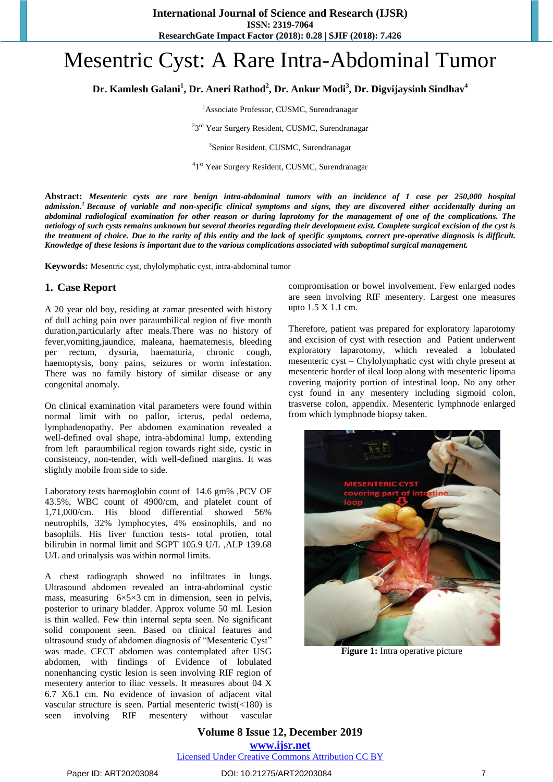# Mesentric Cyst: A Rare Intra-Abdominal Tumor

**Dr. Kamlesh Galani<sup>1</sup> , Dr. Aneri Rathod<sup>2</sup> , Dr. Ankur Modi<sup>3</sup> , Dr. Digvijaysinh Sindhav<sup>4</sup>**

<sup>1</sup>Associate Professor, CUSMC, Surendranagar

<sup>2</sup>3<sup>rd</sup> Year Surgery Resident, CUSMC, Surendranagar

3 Senior Resident, CUSMC, Surendranagar

<sup>4</sup>1<sup>st</sup> Year Surgery Resident, CUSMC, Surendranagar

**Abstract:** *Mesenteric cysts are rare benign intra-abdominal tumors with an incidence of 1 case per 250,000 hospital admission[.](https://www.ncbi.nlm.nih.gov/pmc/articles/PMC4054796/#bib1)<sup>1</sup> Because of variable and non-specific clinical symptoms and signs, they are discovered either accidentally during an abdominal radiological examination for other reason or during laprotomy for the management of one of the complications. The aetiology of such cysts remains unknown but several theories regarding their development exist. Complete surgical excision of the cyst is the treatment of choice. Due to the rarity of this entity and the lack of specific symptoms, correct pre-operative diagnosis is difficult. Knowledge of these lesions is important due to the various complications associated with suboptimal surgical management.*

**Keywords:** Mesentric cyst, chylolymphatic cyst, intra-abdominal tumor

#### **1. Case Report**

A 20 year old boy, residing at zamar presented with history of dull aching pain over paraumbilical region of five month duration,particularly after meals.There was no history of fever,vomiting,jaundice, maleana, haematemesis, bleeding per rectum, dysuria, haematuria, chronic cough, haemoptysis, bony pains, seizures or worm infestation. There was no family history of similar disease or any congenital anomaly.

On clinical examination vital parameters were found within normal limit with no pallor, icterus, pedal oedema, lymphadenopathy. Per abdomen examination revealed a well-defined oval shape, intra-abdominal lump, extending from left paraumbilical region towards right side, cystic in consistency, non-tender, with well-defined margins. It was slightly mobile from side to side.

Laboratory tests haemoglobin count of 14.6 gm% ,PCV OF 43.5%, WBC count of 4900/cm, and platelet count of 1,71,000/cm. His blood differential showed 56% neutrophils, 32% lymphocytes, 4% eosinophils, and no basophils. His liver function tests- total protien, total bilirubin in normal limit and SGPT 105.9 U/L ,ALP 139.68 U/L and urinalysis was within normal limits.

A chest radiograph showed no infiltrates in lungs. Ultrasound abdomen revealed an intra-abdominal cystic mass, measuring  $6\times5\times3$  cm in dimension, seen in pelvis, posterior to urinary bladder. Approx volume 50 ml. Lesion is thin walled. Few thin internal septa seen. No significant solid component seen. Based on clinical features and ultrasound study of abdomen diagnosis of "Mesenteric Cyst" was made. CECT abdomen was contemplated after USG abdomen, with findings of Evidence of lobulated nonenhancing cystic lesion is seen involving RIF region of mesentery anterior to iliac vessels. It measures about 04 X 6.7 X6.1 cm. No evidence of invasion of adjacent vital vascular structure is seen. Partial mesenteric twist(<180) is seen involving RIF mesentery without vascular compromisation or bowel involvement. Few enlarged nodes are seen involving RIF mesentery. Largest one measures upto 1.5 X 1.1 cm.

Therefore, patient was prepared for exploratory laparotomy and excision of cyst with resection and Patient underwent exploratory laparotomy, which revealed a lobulated mesenteric cyst – Chylolymphatic cyst with chyle present at mesenteric border of ileal loop along with mesenteric lipoma covering majority portion of intestinal loop. No any other cyst found in any mesentery including sigmoid colon, trasverse colon, appendix. Mesenteric lymphnode enlarged from which lymphnode biopsy taken.



**Figure 1:** Intra operative picture

**Volume 8 Issue 12, December 2019 www.ijsr.net** Licensed Under Creative Commons Attribution CC BY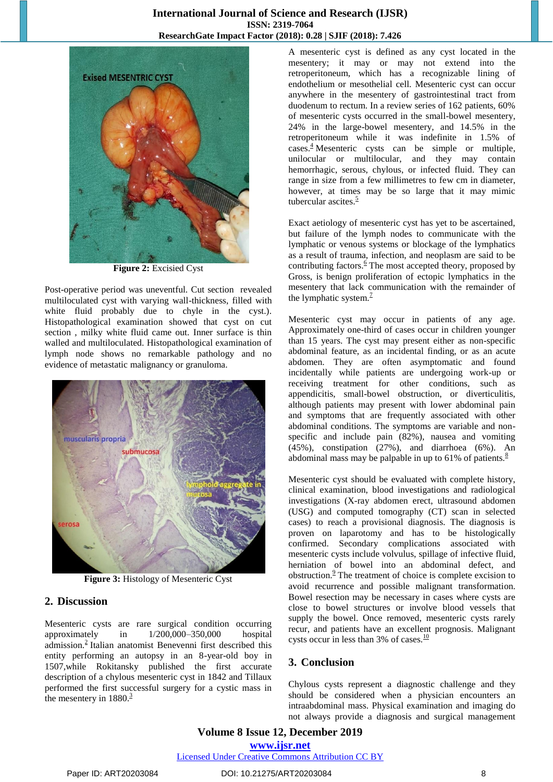## **International Journal of Science and Research (IJSR) ISSN: 2319-7064 ResearchGate Impact Factor (2018): 0.28 | SJIF (2018): 7.426**



**Figure 2:** Excisied Cyst

Post-operative period was uneventful. Cut section revealed multiloculated cyst with varying wall-thickness, filled with white fluid probably due to chyle in the cyst.). Histopathological examination showed that cyst on cut section , milky white fluid came out. Inner surface is thin walled and multiloculated. Histopathological examination of lymph node shows no remarkable pathology and no evidence of metastatic malignancy or granuloma.



**Figure 3:** Histology of Mesenteric Cyst

### **2. Discussion**

Mesenteric cysts are rare surgical condition occurring approximately in 1/200,000–350,000 hospital admission[.](https://www.ncbi.nlm.nih.gov/pmc/articles/PMC4054796/#bib2)<sup>2</sup> Italian anatomist Benevenni first described this entity performing an autopsy in an 8-year-old boy in 1507,while Rokitansky published the first accurate description of a chylous mesenteric cyst in 1842 and Tillaux performed the first successful surgery for a cystic mass in the mesentery in  $1880^3$ 

A mesenteric cyst is defined as any cyst located in the mesentery; it may or may not extend into the retroperitoneum, which has a recognizable lining of endothelium or mesothelial cell. Mesenteric cyst can occur anywhere in the mesentery of gastrointestinal tract from duodenum to rectum. In a review series of 162 patients, 60% of mesenteric cysts occurred in the small-bowel mesentery, 24% in the large-bowel mesentery, and 14.5% in the retroperitoneum while it was indefinite in 1.5% of  $\csc^4$  Mesenteric cysts can be simple or multiple, unilocular or multilocular, and they may contain hemorrhagic, serous, chylous, or infected fluid. They can range in size from a few millimetres to few cm in diameter, however, at times may be so large that it may mimic tubercular ascite[s.](https://www.ncbi.nlm.nih.gov/pmc/articles/PMC4054796/#bib5) $\frac{5}{5}$ 

Exact aetiology of mesenteric cyst has yet to be ascertained, but failure of the lymph nodes to communicate with the lymphatic or venous systems or blockage of the lymphatics as a result of trauma, infection, and neoplasm are said to be contributing factor[s.](https://www.ncbi.nlm.nih.gov/pmc/articles/PMC4054796/#bib6) $6$  The most accepted theory, proposed by Gross, is benign proliferation of ectopic lymphatics in the mesentery that lack communication with the remainder of the lymphatic system[.](https://www.ncbi.nlm.nih.gov/pmc/articles/PMC4054796/#bib7) $<sup>7</sup>$ </sup>

Mesenteric cyst may occur in patients of any age. Approximately one-third of cases occur in children younger than 15 years. The cyst may present either as non-specific abdominal feature, as an incidental finding, or as an acute abdomen. They are often asymptomatic and found incidentally while patients are undergoing work-up or receiving treatment for other conditions, such as appendicitis, small-bowel obstruction, or diverticulitis, although patients may present with lower abdominal pain and symptoms that are frequently associated with other abdominal conditions. The symptoms are variable and nonspecific and include pain (82%), nausea and vomiting (45%), constipation (27%), and diarrhoea (6%). An abdominal mass may be palpable in up to 61% of patients. $\frac{8}{3}$  $\frac{8}{3}$  $\frac{8}{3}$ 

Mesenteric cyst should be evaluated with complete history, clinical examination, blood investigations and radiological investigations (X-ray abdomen erect, ultrasound abdomen (USG) and computed tomography (CT) scan in selected cases) to reach a provisional diagnosis. The diagnosis is proven on laparotomy and has to be histologically confirmed. Secondary complications associated with mesenteric cysts include volvulus, spillage of infective fluid, herniation of bowel into an abdominal defect, and obstruction[.](https://www.ncbi.nlm.nih.gov/pmc/articles/PMC4054796/#bib9) $9^{\circ}$  The treatment of choice is complete excision to avoid recurrence and possible malignant transformation. Bowel resection may be necessary in cases where cysts are close to bowel structures or involve blood vessels that supply the bowel. Once removed, mesenteric cysts rarely recur, and patients have an excellent prognosis. Malignant cysts occur in less than 3% of cases. $\frac{10}{10}$  $\frac{10}{10}$  $\frac{10}{10}$ 

### **3. Conclusion**

Chylous cysts represent a diagnostic challenge and they should be considered when a physician encounters an intraabdominal mass. Physical examination and imaging do not always provide a diagnosis and surgical management

**Volume 8 Issue 12, December 2019 www.ijsr.net** Licensed Under Creative Commons Attribution CC BY